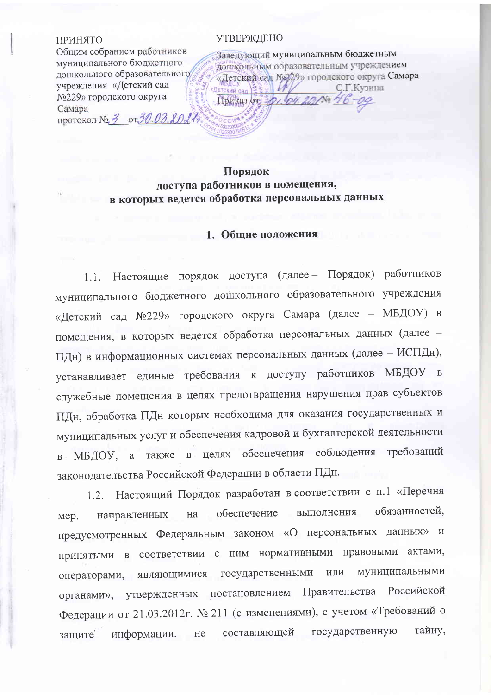#### ПРИНЯТО

Общим собранием работников муниципального бюджетного дошкольного образовательного учреждения «Детский сад №229» городского округа Самара протокол № 3 от 30.03.2027

#### УТВЕРЖДЕНО

Заведующий муниципальным бюджетным дошкольным образовательным учреждением «Детский сад №229» городского округа Самара С.Г.Кузина Детский сад Приказ от 201. 04. 201№

## Порядок доступа работников в помещения, в которых ведется обработка персональных данных

### 1. Общие положения

Настоящие порядок доступа (далее- Порядок) работников  $1.1.$ муниципального бюджетного дошкольного образовательного учреждения «Детский сад №229» городского округа Самара (далее - МБДОУ) в помещения, в которых ведется обработка персональных данных (далее -ПДн) в информационных системах персональных данных (далее - ИСПДн), устанавливает единые требования к доступу работников МБДОУ в служебные помещения в целях предотвращения нарушения прав субъектов ПДн, обработка ПДн которых необходима для оказания государственных и муниципальных услуг и обеспечения кадровой и бухгалтерской деятельности в МБДОУ, а также в целях обеспечения соблюдения требований законодательства Российской Федерации в области ПДн.

Настоящий Порядок разработан в соответствии с п.1 «Перечня  $1.2.$ обязанностей, выполнения обеспечение на направленных Mep, предусмотренных Федеральным законом «О персональных данных» и принятыми в соответствии с ним нормативными правовыми актами, операторами, являющимися государственными муниципальными ИЛИ органами», утвержденных постановлением Правительства Российской Федерации от 21.03.2012г. № 211 (с изменениями), с учетом «Требований о государственную тайну, составляющей информации, не зашите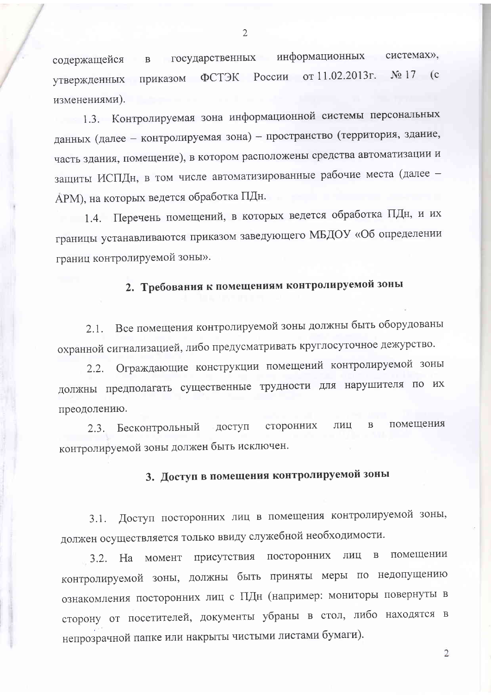информационных системах», государственных содержащейся  $\, {\bf B}$ ФСТЭК России от 11.02.2013г.  $N<sub>2</sub>$  17 (c) приказом утвержденных изменениями).

1.3. Контролируемая зона информационной системы персональных данных (далее - контролируемая зона) - пространство (территория, здание, часть здания, помещение), в котором расположены средства автоматизации и защиты ИСПДн, в том числе автоматизированные рабочие места (далее -АРМ), на которых ведется обработка ПДн.

1.4. Перечень помещений, в которых ведется обработка ПДн, и их границы устанавливаются приказом заведующего МБДОУ «Об определении границ контролируемой зоны».

# 2. Требования к помещениям контролируемой зоны

Все помещения контролируемой зоны должны быть оборудованы  $2.1.$ охранной сигнализацией, либо предусматривать круглосуточное дежурство.

Ограждающие конструкции помещений контролируемой зоны  $2.2.$ должны предполагать существенные трудности для нарушителя по их преодолению.

помещения  $\, {\bf B}$ сторонних ЛИЦ Бесконтрольный доступ  $2.3.$ контролируемой зоны должен быть исключен.

# 3. Доступ в помещения контролируемой зоны

Доступ посторонних лиц в помещения контролируемой зоны,  $3.1.$ должен осуществляется только ввиду служебной необходимости.

присутствия посторонних помещении лиц в MOMEHT  $3.2.$ Ha контролируемой зоны, должны быть приняты меры по недопущению ознакомления посторонних лиц с ПДн (например: мониторы повернуты в сторону от посетителей, документы убраны в стол, либо находятся в непрозрачной папке или накрыты чистыми листами бумаги).

 $\overline{2}$ 

 $\overline{2}$